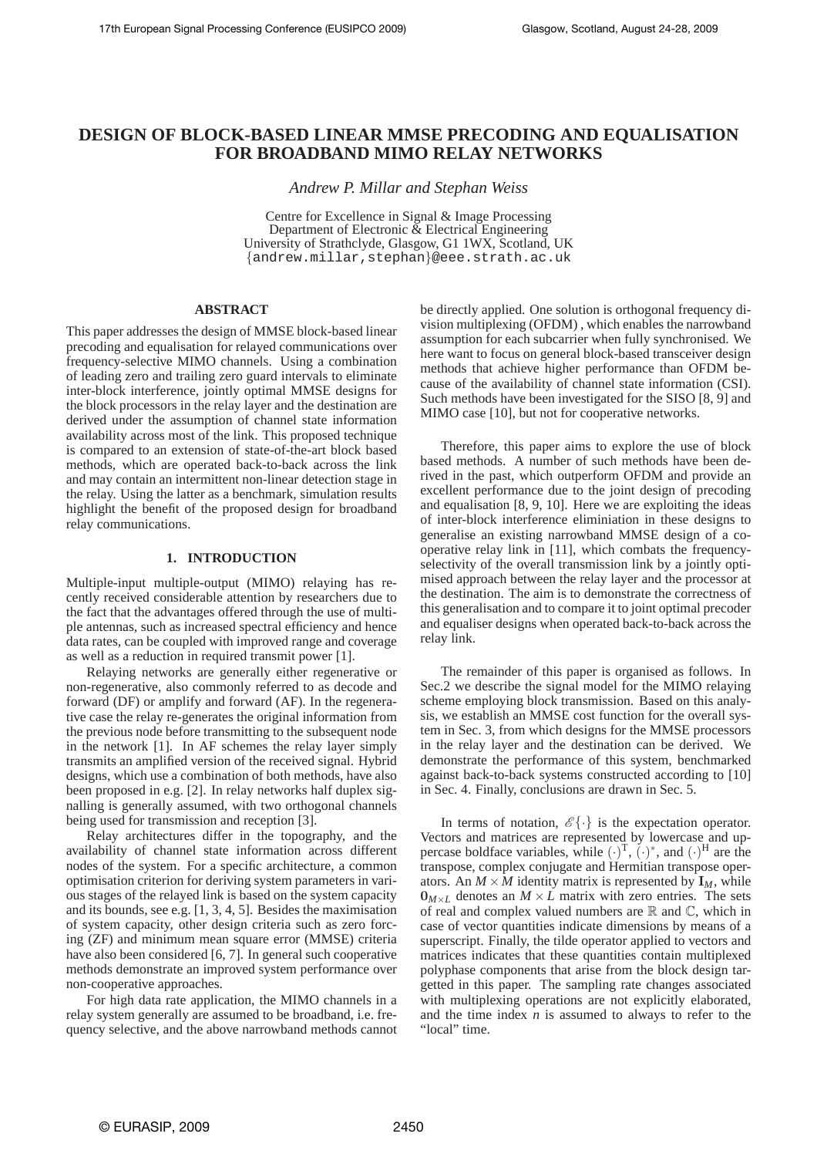# **DESIGN OF BLOCK-BASED LINEAR MMSE PRECODING AND EQUALISATION FOR BROADBAND MIMO RELAY NETWORKS**

*Andrew P. Millar and Stephan Weiss*

Centre for Excellence in Signal & Image Processing Department of Electronic  $\tilde{\&}$  Electrical Engineering University of Strathclyde, Glasgow, G1 1WX, Scotland, UK {andrew.millar,stephan}@eee.strath.ac.uk

# **ABSTRACT**

This paper addresses the design of MMSE block-based linear precoding and equalisation for relayed communications over frequency-selective MIMO channels. Using a combination of leading zero and trailing zero guard intervals to eliminate inter-block interference, jointly optimal MMSE designs for the block processors in the relay layer and the destination are derived under the assumption of channel state information availability across most of the link. This proposed technique is compared to an extension of state-of-the-art block based methods, which are operated back-to-back across the link and may contain an intermittent non-linear detection stage in the relay. Using the latter as a benchmark, simulation results highlight the benefit of the proposed design for broadband relay communications.

# **1. INTRODUCTION**

Multiple-input multiple-output (MIMO) relaying has recently received considerable attention by researchers due to the fact that the advantages offered through the use of multiple antennas, such as increased spectral efficiency and hence data rates, can be coupled with improved range and coverage as well as a reduction in required transmit power [1].

Relaying networks are generally either regenerative or non-regenerative, also commonly referred to as decode and forward (DF) or amplify and forward (AF). In the regenerative case the relay re-generates the original information from the previous node before transmitting to the subsequent node in the network [1]. In AF schemes the relay layer simply transmits an amplified version of the received signal. Hybrid designs, which use a combination of both methods, have also been proposed in e.g. [2]. In relay networks half duplex signalling is generally assumed, with two orthogonal channels being used for transmission and reception [3].

Relay architectures differ in the topography, and the availability of channel state information across different nodes of the system. For a specific architecture, a common optimisation criterion for deriving system parameters in various stages of the relayed link is based on the system capacity and its bounds, see e.g. [1, 3, 4, 5]. Besides the maximisation of system capacity, other design criteria such as zero forcing (ZF) and minimum mean square error (MMSE) criteria have also been considered [6, 7]. In general such cooperative methods demonstrate an improved system performance over non-cooperative approaches.

For high data rate application, the MIMO channels in a relay system generally are assumed to be broadband, i.e. frequency selective, and the above narrowband methods cannot be directly applied. One solution is orthogonal frequency division multiplexing (OFDM) , which enables the narrowband assumption for each subcarrier when fully synchronised. We here want to focus on general block-based transceiver design methods that achieve higher performance than OFDM because of the availability of channel state information (CSI). Such methods have been investigated for the SISO [8, 9] and MIMO case [10], but not for cooperative networks.

Therefore, this paper aims to explore the use of block based methods. A number of such methods have been derived in the past, which outperform OFDM and provide an excellent performance due to the joint design of precoding and equalisation [8, 9, 10]. Here we are exploiting the ideas of inter-block interference eliminiation in these designs to generalise an existing narrowband MMSE design of a cooperative relay link in [11], which combats the frequencyselectivity of the overall transmission link by a jointly optimised approach between the relay layer and the processor at the destination. The aim is to demonstrate the correctness of this generalisation and to compare it to joint optimal precoder and equaliser designs when operated back-to-back across the relay link.

The remainder of this paper is organised as follows. In Sec.2 we describe the signal model for the MIMO relaying scheme employing block transmission. Based on this analysis, we establish an MMSE cost function for the overall system in Sec. 3, from which designs for the MMSE processors in the relay layer and the destination can be derived. We demonstrate the performance of this system, benchmarked against back-to-back systems constructed according to [10] in Sec. 4. Finally, conclusions are drawn in Sec. 5.

In terms of notation,  $\mathcal{E}\{\cdot\}$  is the expectation operator. Vectors and matrices are represented by lowercase and uppercase boldface variables, while  $(\cdot)^T$ ,  $(\cdot)^*$ , and  $(\cdot)^H$  are the transpose, complex conjugate and Hermitian transpose operators. An  $M \times M$  identity matrix is represented by  $I_M$ , while  $0_{M \times L}$  denotes an  $M \times L$  matrix with zero entries. The sets of real and complex valued numbers are  $\mathbb R$  and  $\mathbb C$ , which in case of vector quantities indicate dimensions by means of a superscript. Finally, the tilde operator applied to vectors and matrices indicates that these quantities contain multiplexed polyphase components that arise from the block design targetted in this paper. The sampling rate changes associated with multiplexing operations are not explicitly elaborated, and the time index *n* is assumed to always to refer to the "local" time.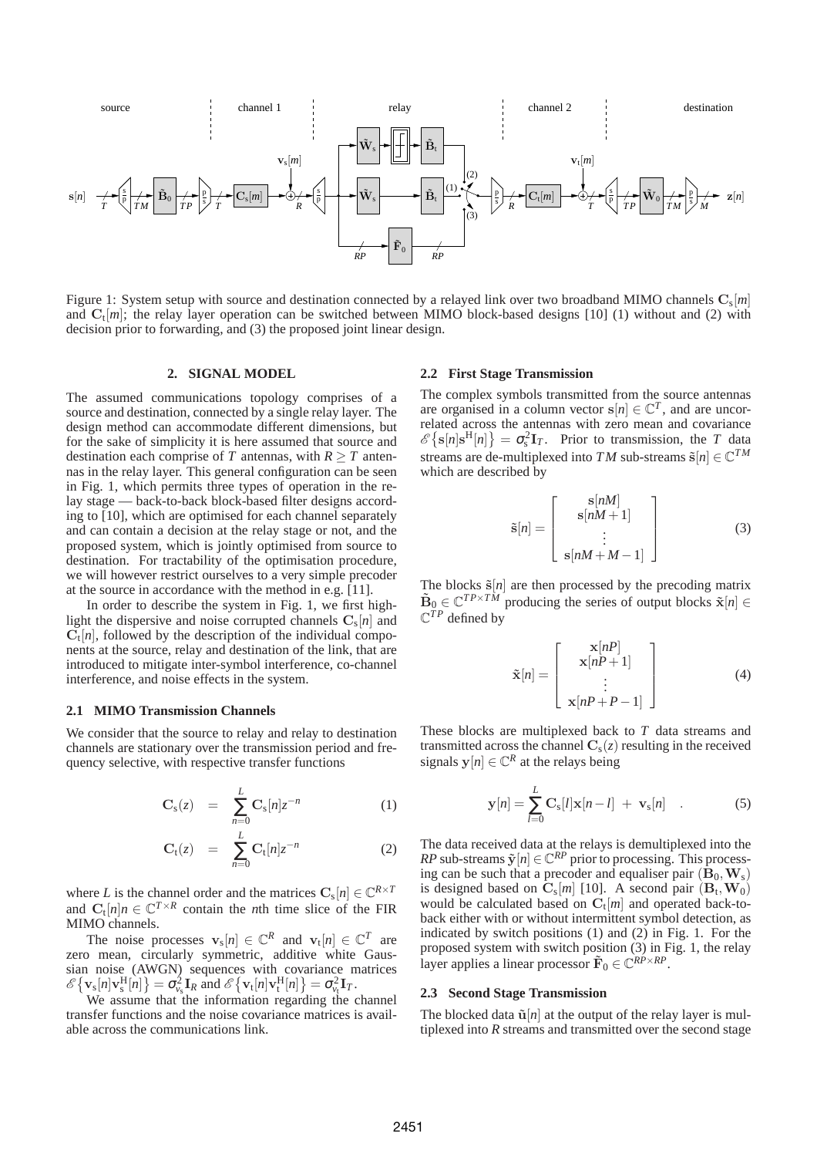

Figure 1: System setup with source and destination connected by a relayed link over two broadband MIMO channels  ${\bf C}_{\rm s}[m]$ and  $C_t[m]$ ; the relay layer operation can be switched between MIMO block-based designs [10] (1) without and (2) with decision prior to forwarding, and (3) the proposed joint linear design.

# **2. SIGNAL MODEL**

The assumed communications topology comprises of a source and destination, connected by a single relay layer. The design method can accommodate different dimensions, but for the sake of simplicity it is here assumed that source and destination each comprise of *T* antennas, with  $R \geq T$  antennas in the relay layer. This general configuration can be seen in Fig. 1, which permits three types of operation in the relay stage — back-to-back block-based filter designs according to [10], which are optimised for each channel separately and can contain a decision at the relay stage or not, and the proposed system, which is jointly optimised from source to destination. For tractability of the optimisation procedure, we will however restrict ourselves to a very simple precoder at the source in accordance with the method in e.g. [11].

In order to describe the system in Fig. 1, we first highlight the dispersive and noise corrupted channels  $\mathbf{C}_s[n]$  and  $\mathbf{C}_{t}[n]$ , followed by the description of the individual components at the source, relay and destination of the link, that are introduced to mitigate inter-symbol interference, co-channel interference, and noise effects in the system.

# **2.1 MIMO Transmission Channels**

We consider that the source to relay and relay to destination channels are stationary over the transmission period and frequency selective, with respective transfer functions

$$
\mathbf{C}_{\mathbf{s}}(z) = \sum_{n=0}^{L} \mathbf{C}_{\mathbf{s}}[n] z^{-n} \tag{1}
$$

$$
\mathbf{C}_{t}(z) = \sum_{n=0}^{L} \mathbf{C}_{t}[n] z^{-n} \tag{2}
$$

where *L* is the channel order and the matrices  $\mathbf{C}_s[n] \in \mathbb{C}^{R \times T}$ and  $C_t[n]n \in \mathbb{C}^{T \times R}$  contain the *n*th time slice of the FIR MIMO channels.

The noise processes  $\mathbf{v}_s[n] \in \mathbb{C}^R$  and  $\mathbf{v}_t[n] \in \mathbb{C}^T$  are zero mean, circularly symmetric, additive white Gaussian noise (AWGN) sequences with covariance matrices  $\mathscr{E}\{\mathbf{v}_{s}[n]\mathbf{v}_{s}^{\text{H}}[n]\} = \sigma_{\nu_{s}}^{2}\mathbf{I}_{R} \text{ and } \mathscr{E}\{\mathbf{v}_{t}[n]\mathbf{v}_{t}^{\text{H}}[n]\} = \sigma_{\nu_{t}}^{2}\mathbf{I}_{T}.$ 

We assume that the information regarding the channel transfer functions and the noise covariance matrices is available across the communications link.

# **2.2 First Stage Transmission**

The complex symbols transmitted from the source antennas are organised in a column vector  $s[n] \in \mathbb{C}^T$ , and are uncorrelated across the antennas with zero mean and covariance  $\mathscr{E}\left\{ \mathbf{s}[n]\mathbf{s}^{\mathrm{H}}[n]\right\} = \sigma_{\mathrm{s}}^2 \mathbf{I}_T$ . Prior to transmission, the *T* data streams are de-multiplexed into *TM* sub-streams  $\tilde{\mathbf{s}}[n] \in \mathbb{C}^{TM}$ which are described by

$$
\tilde{\mathbf{s}}[n] = \left[\begin{array}{c} \mathbf{s}[nM] \\ \mathbf{s}[nM+1] \\ \vdots \\ \mathbf{s}[nM+M-1] \end{array}\right] \tag{3}
$$

The blocks  $\tilde{s}[n]$  are then processed by the precoding matrix  $\tilde{\mathbf{B}}_0 \in \mathbb{C}^{TP \times TM}$  producing the series of output blocks  $\tilde{\mathbf{x}}[n] \in$  $\mathbb{C}^{TP}$  defined by

$$
\tilde{\mathbf{x}}[n] = \begin{bmatrix} \mathbf{x}[nP] \\ \mathbf{x}[nP+1] \\ \vdots \\ \mathbf{x}[nP+P-1] \end{bmatrix}
$$
 (4)

These blocks are multiplexed back to *T* data streams and transmitted across the channel  $C_s(z)$  resulting in the received signals  $y[n] \in \mathbb{C}^R$  at the relays being

$$
\mathbf{y}[n] = \sum_{l=0}^{L} \mathbf{C}_s[l] \mathbf{x}[n-l] + \mathbf{v}_s[n] \quad . \tag{5}
$$

The data received data at the relays is demultiplexed into the *RP* sub-streams  $\tilde{\mathbf{y}}[n] \in \mathbb{C}^{RP}$  prior to processing. This processing can be such that a precoder and equaliser pair  $(\mathbf{B}_0, \mathbf{W}_s)$ is designed based on  $\mathbf{C}_s[m]$  [10]. A second pair  $(\mathbf{B}_t, \mathbf{W}_0)$ would be calculated based on  $\mathbf{C}_t[m]$  and operated back-toback either with or without intermittent symbol detection, as indicated by switch positions (1) and (2) in Fig. 1. For the proposed system with switch position (3) in Fig. 1, the relay layer applies a linear processor  $\tilde{\mathbf{F}}_0 \in \mathbb{C}^{RP \times RP}$ .

#### **2.3 Second Stage Transmission**

The blocked data  $\tilde{\mathbf{u}}[n]$  at the output of the relay layer is multiplexed into *R* streams and transmitted over the second stage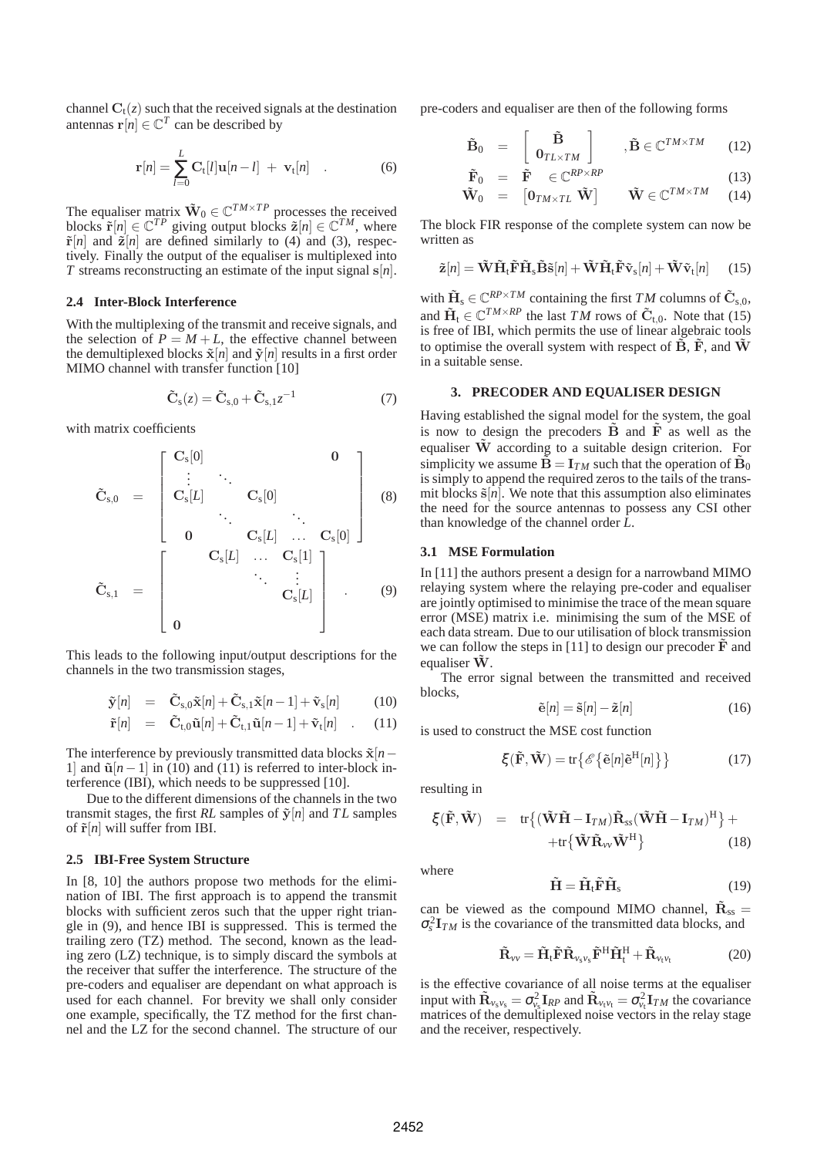channel  $C_t(z)$  such that the received signals at the destination antennas  $\mathbf{r}[n] \in \mathbb{C}^T$  can be described by

$$
\mathbf{r}[n] = \sum_{l=0}^{L} \mathbf{C}_{t}[l] \mathbf{u}[n-l] + \mathbf{v}_{t}[n] \quad . \tag{6}
$$

The equaliser matrix  $\tilde{W}_0 \in \mathbb{C}^{TM \times TP}$  processes the received blocks  $\tilde{\mathbf{r}}[n] \in \mathbb{C}^{TP}$  giving output blocks  $\tilde{\mathbf{z}}[n] \in \mathbb{C}^{TM}$ , where  $\tilde{\mathbf{r}}[n]$  and  $\tilde{\mathbf{z}}[n]$  are defined similarly to (4) and (3), respectively. Finally the output of the equaliser is multiplexed into *T* streams reconstructing an estimate of the input signal s[*n*].

# **2.4 Inter-Block Interference**

With the multiplexing of the transmit and receive signals, and the selection of  $P = M + L$ , the effective channel between the demultiplexed blocks  $\tilde{\mathbf{x}}[n]$  and  $\tilde{\mathbf{y}}[n]$  results in a first order MIMO channel with transfer function [10]

$$
\tilde{\mathbf{C}}_{\rm s}(z) = \tilde{\mathbf{C}}_{\rm s,0} + \tilde{\mathbf{C}}_{\rm s,1} z^{-1} \tag{7}
$$

with matrix coefficients

$$
\tilde{\mathbf{C}}_{s,0} = \begin{bmatrix} \mathbf{C}_s[0] & & & \mathbf{0} \\ \vdots & \ddots & & & \\ \mathbf{C}_s[L] & & \mathbf{C}_s[0] & & \\ & \ddots & & \ddots & \\ \mathbf{0} & & & \mathbf{C}_s[L] & \cdots & \mathbf{C}_s[0] \end{bmatrix}
$$
\n
$$
\tilde{\mathbf{C}}_{s,1} = \begin{bmatrix} \mathbf{C}_s[L] & \cdots & \mathbf{C}_s[1] \\ & \ddots & \vdots \\ \mathbf{0} & & & \mathbf{C}_s[L] \end{bmatrix}
$$
\n(9)

This leads to the following input/output descriptions for the channels in the two transmission stages,

$$
\tilde{\mathbf{y}}[n] = \tilde{\mathbf{C}}_{\mathrm{s},0}\tilde{\mathbf{x}}[n] + \tilde{\mathbf{C}}_{\mathrm{s},1}\tilde{\mathbf{x}}[n-1] + \tilde{\mathbf{v}}_{\mathrm{s}}[n] \quad (10)
$$

$$
\tilde{\mathbf{r}}[n] = \tilde{\mathbf{C}}_{t,0}\tilde{\mathbf{u}}[n] + \tilde{\mathbf{C}}_{t,1}\tilde{\mathbf{u}}[n-1] + \tilde{\mathbf{v}}_t[n] \quad . \quad (11)
$$

The interference by previously transmitted data blocks  $\tilde{\mathbf{x}}[n-\mathbf{r}]$ 1] and  $\tilde{u}[n-1]$  in (10) and (11) is referred to inter-block interference (IBI), which needs to be suppressed [10].

Due to the different dimensions of the channels in the two transmit stages, the first *RL* samples of  $\tilde{y}[n]$  and *TL* samples of  $\tilde{\mathbf{r}}[n]$  will suffer from IBI.

# **2.5 IBI-Free System Structure**

In [8, 10] the authors propose two methods for the elimination of IBI. The first approach is to append the transmit blocks with sufficient zeros such that the upper right triangle in (9), and hence IBI is suppressed. This is termed the trailing zero (TZ) method. The second, known as the leading zero (LZ) technique, is to simply discard the symbols at the receiver that suffer the interference. The structure of the pre-coders and equaliser are dependant on what approach is used for each channel. For brevity we shall only consider one example, specifically, the TZ method for the first channel and the LZ for the second channel. The structure of our pre-coders and equaliser are then of the following forms

$$
\tilde{\mathbf{B}}_0 = \begin{bmatrix} \tilde{\mathbf{B}} \\ \mathbf{0}_{TL \times TM} \end{bmatrix}, \tilde{\mathbf{B}} \in \mathbb{C}^{TM \times TM} \qquad (12)
$$

$$
\tilde{\mathbf{F}}_0 = \tilde{\mathbf{F}} \in \mathbb{C}^{RP \times RP} \tag{13}
$$

$$
\tilde{\mathbf{W}}_0 = \begin{bmatrix} \mathbf{0}_{TM \times TL} \; \tilde{\mathbf{W}} \end{bmatrix} \qquad \tilde{\mathbf{W}} \in \mathbb{C}^{TM \times TM} \tag{14}
$$

The block FIR response of the complete system can now be written as

$$
\tilde{\mathbf{z}}[n] = \tilde{\mathbf{W}} \tilde{\mathbf{H}}_{\mathrm{t}} \tilde{\mathbf{F}} \tilde{\mathbf{H}}_{\mathrm{s}} \tilde{\mathbf{B}} \tilde{\mathbf{s}}[n] + \tilde{\mathbf{W}} \tilde{\mathbf{H}}_{\mathrm{t}} \tilde{\mathbf{F}} \tilde{\mathbf{v}}_{\mathrm{s}}[n] + \tilde{\mathbf{W}} \tilde{\mathbf{v}}_{\mathrm{t}}[n] \qquad (15)
$$

with  $\tilde{\mathbf{H}}_{\text{s}} \in \mathbb{C}^{RP \times TM}$  containing the first *TM* columns of  $\tilde{\mathbf{C}}_{\text{s},0}$ , and  $\tilde{H}_t \in \mathbb{C}^{TM \times RP}$  the last *TM* rows of  $\tilde{C}_{t,0}$ . Note that (15) is free of IBI, which permits the use of linear algebraic tools to optimise the overall system with respect of  $\tilde{B}$ ,  $\tilde{F}$ , and  $\tilde{W}$ in a suitable sense.

# **3. PRECODER AND EQUALISER DESIGN**

Having established the signal model for the system, the goal is now to design the precoders  $\tilde{B}$  and  $\tilde{F}$  as well as the equaliser  $\tilde{W}$  according to a suitable design criterion. For simplicity we assume  $\tilde{\mathbf{B}} = \mathbf{I}_{TM}$  such that the operation of  $\tilde{\mathbf{B}}_0$ is simply to append the required zeros to the tails of the transmit blocks  $\tilde{\mathbf{s}}[n]$ . We note that this assumption also eliminates the need for the source antennas to possess any CSI other than knowledge of the channel order *L*.

#### **3.1 MSE Formulation**

In [11] the authors present a design for a narrowband MIMO relaying system where the relaying pre-coder and equaliser are jointly optimised to minimise the trace of the mean square error (MSE) matrix i.e. minimising the sum of the MSE of each data stream. Due to our utilisation of block transmission we can follow the steps in  $[11]$  to design our precoder  $\bf{F}$  and equaliser  $\tilde{W}$ .

The error signal between the transmitted and received blocks,

$$
\tilde{\mathbf{e}}[n] = \tilde{\mathbf{s}}[n] - \tilde{\mathbf{z}}[n] \tag{16}
$$

is used to construct the MSE cost function

$$
\xi(\tilde{\mathbf{F}}, \tilde{\mathbf{W}}) = \text{tr}\{\mathscr{E}\{\tilde{\mathbf{e}}[n]\tilde{\mathbf{e}}^{\text{H}}[n]\}\}\tag{17}
$$

resulting in

$$
\xi(\tilde{\mathbf{F}}, \tilde{\mathbf{W}}) = tr \{ (\tilde{\mathbf{W}} \tilde{\mathbf{H}} - \mathbf{I}_{TM}) \tilde{\mathbf{R}}_{ss} (\tilde{\mathbf{W}} \tilde{\mathbf{H}} - \mathbf{I}_{TM})^{\mathrm{H}} \} + tr \{ \tilde{\mathbf{W}} \tilde{\mathbf{R}}_{vv} \tilde{\mathbf{W}}^{\mathrm{H}} \}
$$
(18)

where

 $\tilde{\mathbf{H}} = \tilde{\mathbf{H}}_{\text{t}} \tilde{\mathbf{F}} \tilde{\mathbf{H}}$  $(19)$ 

can be viewed as the compound MIMO channel,  $\tilde{\mathbf{R}}_{ss}$  =  $\sigma_s^2 \mathbf{I}_{TM}$  is the covariance of the transmitted data blocks, and

$$
\tilde{\mathbf{R}}_{\nu\nu} = \tilde{\mathbf{H}}_t \tilde{\mathbf{F}} \tilde{\mathbf{R}}_{\nu_s \nu_s} \tilde{\mathbf{F}}^H \tilde{\mathbf{H}}_t^H + \tilde{\mathbf{R}}_{\nu_t \nu_t}
$$
(20)

is the effective covariance of all noise terms at the equaliser input with  $\tilde{\mathbf{R}}_{v_s v_s} = \sigma_{v_s}^2 \mathbf{I}_{RP}$  and  $\tilde{\mathbf{R}}_{v_t v_t} = \sigma_{v_t}^2 \mathbf{I}_{TM}$  the covariance matrices of the demultiplexed noise vectors in the relay stage and the receiver, respectively.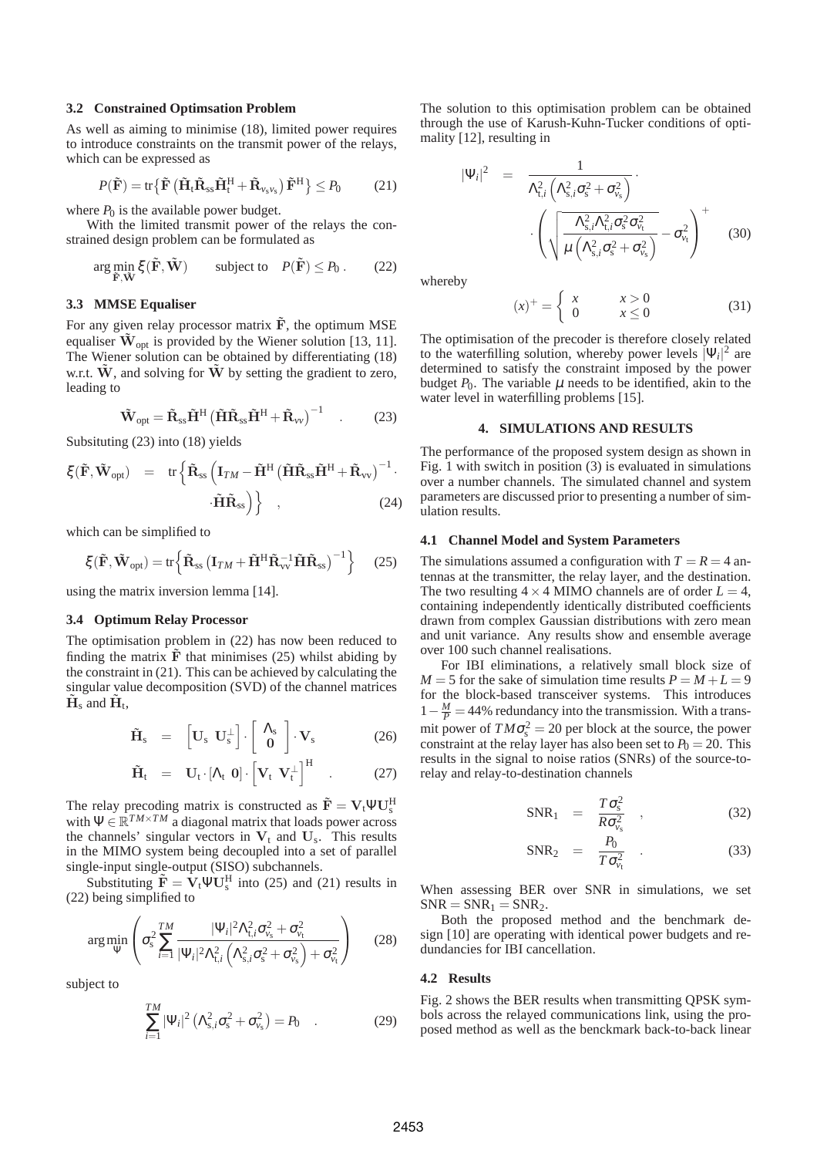# **3.2 Constrained Optimsation Problem**

As well as aiming to minimise (18), limited power requires to introduce constraints on the transmit power of the relays, which can be expressed as

$$
P(\tilde{\mathbf{F}}) = \text{tr}\left\{ \tilde{\mathbf{F}}\left( \tilde{\mathbf{H}}_{t}\tilde{\mathbf{R}}_{ss}\tilde{\mathbf{H}}_{t}^{\text{H}} + \tilde{\mathbf{R}}_{\nu_{s}\nu_{s}} \right) \tilde{\mathbf{F}}^{\text{H}} \right\} \leq P_{0} \tag{21}
$$

where  $P_0$  is the available power budget.

With the limited transmit power of the relays the constrained design problem can be formulated as

$$
\arg\min_{\tilde{\mathbf{F}}, \tilde{\mathbf{W}}} \xi(\tilde{\mathbf{F}}, \tilde{\mathbf{W}}) \qquad \text{subject to} \quad P(\tilde{\mathbf{F}}) \le P_0. \tag{22}
$$

### **3.3 MMSE Equaliser**

For any given relay processor matrix  $\tilde{F}$ , the optimum MSE equaliser  $\tilde{W}_{opt}$  is provided by the Wiener solution [13, 11]. The Wiener solution can be obtained by differentiating (18) w.r.t.  $\tilde{W}$ , and solving for  $\tilde{W}$  by setting the gradient to zero, leading to

$$
\tilde{\mathbf{W}}_{opt} = \tilde{\mathbf{R}}_{ss}\tilde{\mathbf{H}}^{H} \left( \tilde{\mathbf{H}} \tilde{\mathbf{R}}_{ss} \tilde{\mathbf{H}}^{H} + \tilde{\mathbf{R}}_{\nu\nu} \right)^{-1} \quad . \tag{23}
$$

Subsituting (23) into (18) yields

$$
\xi(\tilde{\mathbf{F}}, \tilde{\mathbf{W}}_{\text{opt}}) = tr \left\{ \tilde{\mathbf{R}}_{ss} \left( \mathbf{I}_{TM} - \tilde{\mathbf{H}}^{\text{H}} \left( \tilde{\mathbf{H}} \tilde{\mathbf{R}}_{ss} \tilde{\mathbf{H}}^{\text{H}} + \tilde{\mathbf{R}}_{\text{vv}} \right)^{-1} \cdot \tilde{\mathbf{H}} \tilde{\mathbf{R}}_{ss} \right) \right\} ,
$$
 (24)

which can be simplified to

$$
\xi(\tilde{\mathbf{F}}, \tilde{\mathbf{W}}_{\text{opt}}) = \text{tr}\left\{\tilde{\mathbf{R}}_{\text{ss}}\left(\mathbf{I}_{TM} + \tilde{\mathbf{H}}^{\text{H}}\tilde{\mathbf{R}}_{\text{vv}}^{-1}\tilde{\mathbf{H}}\tilde{\mathbf{R}}_{\text{ss}}\right)^{-1}\right\} \tag{25}
$$

using the matrix inversion lemma [14].

#### **3.4 Optimum Relay Processor**

The optimisation problem in (22) has now been reduced to finding the matrix  $\tilde{F}$  that minimises (25) whilst abiding by the constraint in (21). This can be achieved by calculating the singular value decomposition (SVD) of the channel matrices  $\tilde{\mathbf{H}}_{\rm s}$  and  $\tilde{\mathbf{H}}_{\rm t}$ ,

$$
\tilde{\mathbf{H}}_{\rm s} = \begin{bmatrix} \mathbf{U}_{\rm s} & \mathbf{U}_{\rm s}^{\perp} \end{bmatrix} \cdot \begin{bmatrix} \Lambda_{\rm s} \\ \mathbf{0} \end{bmatrix} \cdot \mathbf{V}_{\rm s}
$$
 (26)

$$
\tilde{\mathbf{H}}_{t} = \mathbf{U}_{t} \cdot [\Lambda_{t} \; \mathbf{0}] \cdot \left[ \mathbf{V}_{t} \; \mathbf{V}_{t}^{\perp} \right]^{H} \quad . \tag{27}
$$

The relay precoding matrix is constructed as  $\tilde{\mathbf{F}} = \mathbf{V}_t \Psi \mathbf{U}_s^H$ with  $\Psi \in \mathbb{R}^{TM \times TM}$  a diagonal matrix that loads power across the channels' singular vectors in  $V_t$  and  $U_s$ . This results in the MIMO system being decoupled into a set of parallel single-input single-output (SISO) subchannels.

Substituting  $\tilde{\mathbf{F}} = \tilde{\mathbf{V}}_t \Psi \mathbf{U}_s^H$  into (25) and (21) results in (22) being simplified to

$$
\arg\min_{\Psi} \left( \sigma_s^2 \sum_{i=1}^{TM} \frac{|\Psi_i|^2 \Lambda_{t,i}^2 \sigma_{v_s}^2 + \sigma_{v_t}^2}{|\Psi_i|^2 \Lambda_{t,i}^2 \left( \Lambda_{s,i}^2 \sigma_s^2 + \sigma_{v_s}^2 \right) + \sigma_{v_t}^2} \right) \tag{28}
$$

subject to

$$
\sum_{i=1}^{TM} |\Psi_i|^2 \left( \Lambda_{s,i}^2 \sigma_s^2 + \sigma_{v_s}^2 \right) = P_0 \quad . \tag{29}
$$

The solution to this optimisation problem can be obtained through the use of Karush-Kuhn-Tucker conditions of optimality [12], resulting in

$$
|\Psi_i|^2 = \frac{1}{\Lambda_{t,i}^2 \left(\Lambda_{s,i}^2 \sigma_s^2 + \sigma_{\nu_s}^2\right)} \cdot \left(\sqrt{\frac{\Lambda_{s,i}^2 \Lambda_{t,i}^2 \sigma_s^2 \sigma_{\nu_t}^2}{\mu \left(\Lambda_{s,i}^2 \sigma_s^2 + \sigma_{\nu_s}^2\right)}} - \sigma_{\nu_t}^2\right)^+ \quad (30)
$$

whereby

$$
(x)^{+} = \begin{cases} x & x > 0 \\ 0 & x \le 0 \end{cases}
$$
 (31)

The optimisation of the precoder is therefore closely related to the waterfilling solution, whereby power levels  $|\Psi_i|^2$  are determined to satisfy the constraint imposed by the power budget  $P_0$ . The variable  $\mu$  needs to be identified, akin to the water level in waterfilling problems [15].

# **4. SIMULATIONS AND RESULTS**

The performance of the proposed system design as shown in Fig. 1 with switch in position (3) is evaluated in simulations over a number channels. The simulated channel and system parameters are discussed prior to presenting a number of simulation results.

### **4.1 Channel Model and System Parameters**

The simulations assumed a configuration with  $T = R = 4$  antennas at the transmitter, the relay layer, and the destination. The two resulting  $4 \times 4$  MIMO channels are of order  $L = 4$ , containing independently identically distributed coefficients drawn from complex Gaussian distributions with zero mean and unit variance. Any results show and ensemble average over 100 such channel realisations.

For IBI eliminations, a relatively small block size of  $M = 5$  for the sake of simulation time results  $P = M + L = 9$ for the block-based transceiver systems. This introduces  $1 - \frac{M}{P} = 44\%$  redundancy into the transmission. With a transmit power of  $TM\sigma_s^2 = 20$  per block at the source, the power constraint at the relay layer has also been set to  $P_0 = 20$ . This results in the signal to noise ratios (SNRs) of the source-torelay and relay-to-destination channels

$$
SNR_1 = \frac{T\sigma_s^2}{R\sigma_{\nu_s}^2} \quad , \tag{32}
$$

$$
SNR_2 = \frac{P_0}{T\sigma_{\nu_t}^2} \qquad (33)
$$

When assessing BER over SNR in simulations, we set  $SNR = SNR_1 = SNR_2$ .

Both the proposed method and the benchmark design [10] are operating with identical power budgets and redundancies for IBI cancellation.

#### **4.2 Results**

Fig. 2 shows the BER results when transmitting QPSK symbols across the relayed communications link, using the proposed method as well as the benckmark back-to-back linear